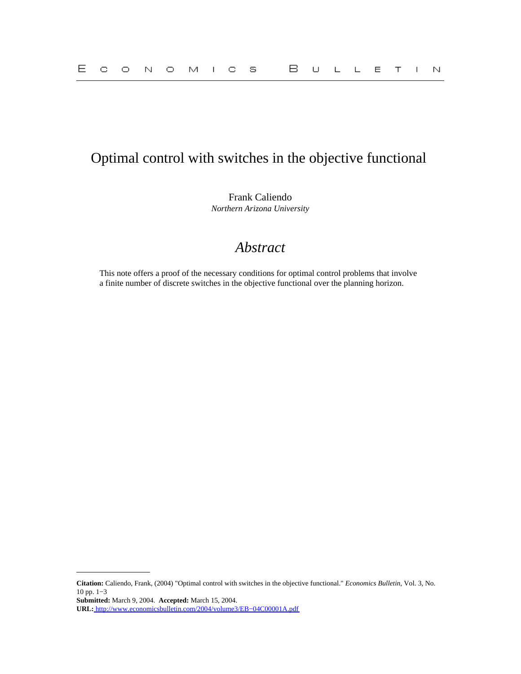# Optimal control with switches in the objective functional

Frank Caliendo *Northern Arizona University*

# *Abstract*

This note offers a proof of the necessary conditions for optimal control problems that involve a finite number of discrete switches in the objective functional over the planning horizon.

**Citation:** Caliendo, Frank, (2004) "Optimal control with switches in the objective functional." *Economics Bulletin,* Vol. 3, No. 10 pp. 1−3

**Submitted:** March 9, 2004. **Accepted:** March 15, 2004.

**URL:** [http://www.economicsbulletin.com/2004/volume3/EB−04C00001A.pdf](http://www.economicsbulletin.com/2004/volume3/EB-04C00001A.pdf)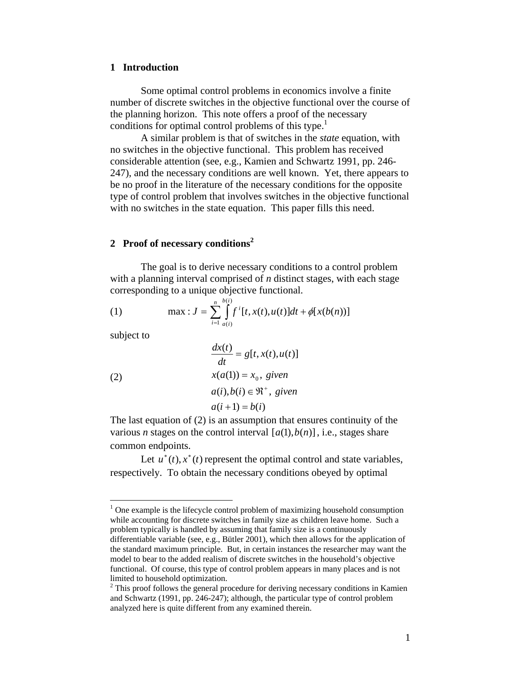#### **1 Introduction**

 Some optimal control problems in economics involve a finite number of discrete switches in the objective functional over the course of the planning horizon. This note offers a proof of the necessary conditions for optimal control problems of this type.<sup>1</sup>

A similar problem is that of switches in the *state* equation, with no switches in the objective functional. This problem has received considerable attention (see, e.g., Kamien and Schwartz 1991, pp. 246- 247), and the necessary conditions are well known. Yet, there appears to be no proof in the literature of the necessary conditions for the opposite type of control problem that involves switches in the objective functional with no switches in the state equation. This paper fills this need.

### **2 Proof of necessary conditions<sup>2</sup>**

The goal is to derive necessary conditions to a control problem with a planning interval comprised of *n* distinct stages, with each stage corresponding to a unique objective functional.

(1) 
$$
\max : J = \sum_{i=1}^{n} \int_{a(i)}^{b(i)} f^{i}[t, x(t), u(t)]dt + \phi[x(b(n))]
$$

 $\overline{u}$   $\overline{u}$ 

subject to

1

(2)  
\n
$$
\frac{dx(t)}{dt} = g[t, x(t), u(t)]
$$
\n
$$
x(a(1)) = x_0, \text{ given}
$$
\n
$$
a(i), b(i) \in \mathbb{R}^+, \text{ given}
$$
\n
$$
a(i+1) = b(i)
$$

The last equation of (2) is an assumption that ensures continuity of the various *n* stages on the control interval  $[a(1), b(n)]$ , i.e., stages share common endpoints.

Let  $u^*(t)$ ,  $x^*(t)$  represent the optimal control and state variables, respectively. To obtain the necessary conditions obeyed by optimal

 $<sup>1</sup>$  One example is the lifecycle control problem of maximizing household consumption</sup> while accounting for discrete switches in family size as children leave home. Such a problem typically is handled by assuming that family size is a continuously differentiable variable (see, e.g., Bütler 2001), which then allows for the application of the standard maximum principle. But, in certain instances the researcher may want the model to bear to the added realism of discrete switches in the household's objective functional. Of course, this type of control problem appears in many places and is not limited to household optimization.

 $2$ <sup>2</sup> This proof follows the general procedure for deriving necessary conditions in Kamien and Schwartz (1991, pp. 246-247); although, the particular type of control problem analyzed here is quite different from any examined therein.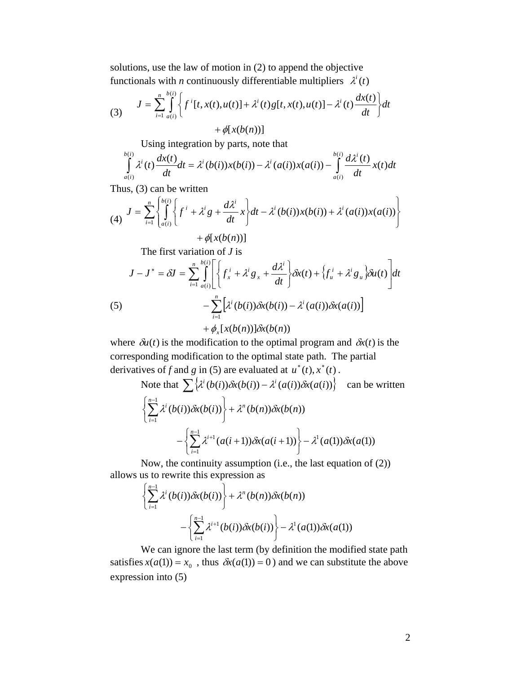solutions, use the law of motion in (2) to append the objective functionals with *n* continuously differentiable multipliers  $\lambda^{i}(t)$ 

(3) 
$$
J = \sum_{i=1}^{n} \int_{a(i)}^{b(i)} \left\{ f^{i}[t, x(t), u(t)] + \lambda^{i}(t)g[t, x(t), u(t)] - \lambda^{i}(t) \frac{dx(t)}{dt} \right\} dt + \phi[x(b(n))]
$$

Using integration by parts, note that

$$
\int_{a(i)}^{b(i)} \lambda^{i}(t) \frac{dx(t)}{dt} dt = \lambda^{i}(b(i))x(b(i)) - \lambda^{i}(a(i))x(a(i)) - \int_{a(i)}^{b(i)} \frac{d\lambda^{i}(t)}{dt}x(t)dt
$$

Thus, (3) can be written

$$
(4) \quad J = \sum_{i=1}^{n} \left\{ \int_{a(i)}^{b(i)} \left\{ f^{i} + \lambda^{i} g + \frac{d\lambda^{i}}{dt} x \right\} dt - \lambda^{i} (b(i)) x(b(i)) + \lambda^{i} (a(i)) x(a(i)) \right\}
$$

$$
+\phi[x(b(n))]
$$

The first variation of *J* is

(5)  
\n
$$
J - J^* = \delta J = \sum_{i=1}^n \int_{a(i)}^{b(i)} \left[ \left\{ f_x^i + \lambda^i g_x + \frac{d\lambda^i}{dt} \right\} \delta x(t) + \left\{ f_u^i + \lambda^i g_u \right\} \delta u(t) \right] dt - \sum_{i=1}^n \left[ \lambda^i (b(i)) \delta x(b(i)) - \lambda^i (a(i)) \delta x(a(i)) \right] + \phi_x [x(b(n))] \delta x(b(n))
$$

where  $\delta u(t)$  is the modification to the optimal program and  $\delta x(t)$  is the corresponding modification to the optimal state path. The partial derivatives of *f* and *g* in (5) are evaluated at  $u^*(t)$ ,  $x^*(t)$ .

Note that 
$$
\sum {\lambda^{i} (b(i)) \delta x(b(i)) - \lambda^{i} (a(i)) \delta x(a(i))}
$$
 can be written  

$$
\left\{\sum_{i=1}^{n-1} \lambda^{i} (b(i)) \delta x(b(i))\right\} + \lambda^{n} (b(n)) \delta x(b(n))
$$

$$
-\left\{\sum_{i=1}^{n-1} \lambda^{i+1} (a(i+1)) \delta x(a(i+1))\right\} - \lambda^{1} (a(1)) \delta x(a(1))
$$

Now, the continuity assumption (i.e., the last equation of (2)) allows us to rewrite this expression as

$$
\left\{\sum_{i=1}^{n-1}\lambda^{i}(b(i))\delta x(b(i))\right\} + \lambda^{n}(b(n))\delta x(b(n)) - \left\{\sum_{i=1}^{n-1}\lambda^{i+1}(b(i))\delta x(b(i))\right\} - \lambda^{1}(a(1))\delta x(a(1))
$$

We can ignore the last term (by definition the modified state path satisfies  $x(a(1)) = x_0$ , thus  $\delta x(a(1)) = 0$ ) and we can substitute the above expression into (5)